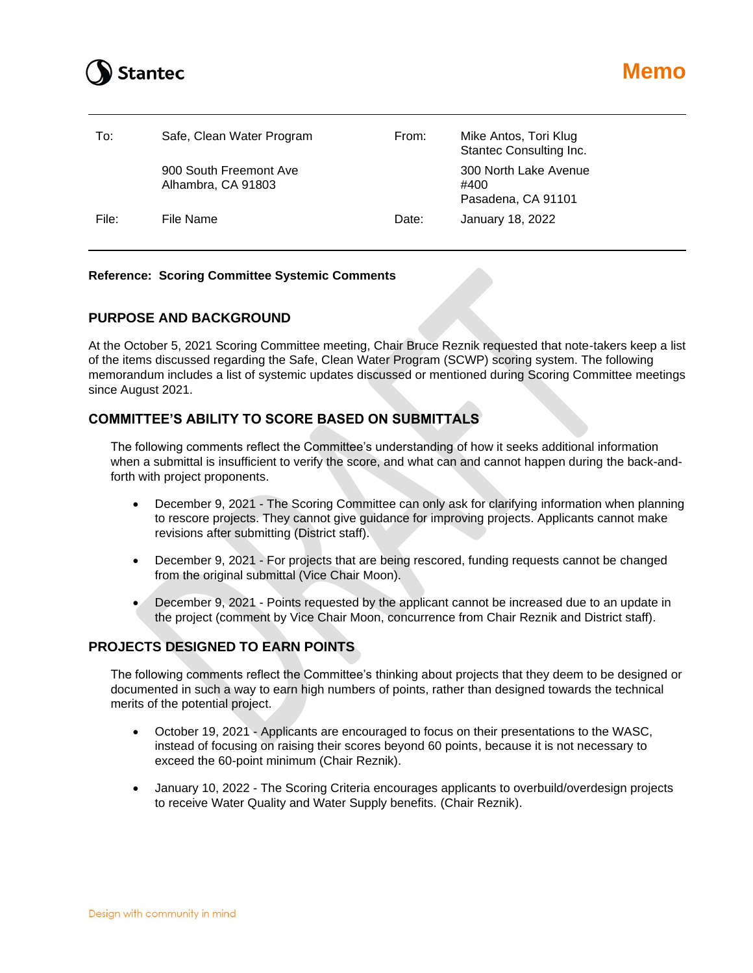# **Stantec**

| To:   | Safe, Clean Water Program                    | From: | Mike Antos, Tori Klug<br>Stantec Consulting Inc.    |
|-------|----------------------------------------------|-------|-----------------------------------------------------|
|       | 900 South Freemont Ave<br>Alhambra, CA 91803 |       | 300 North Lake Avenue<br>#400<br>Pasadena, CA 91101 |
| File: | File Name                                    | Date: | January 18, 2022                                    |

### **Reference: Scoring Committee Systemic Comments**

# **PURPOSE AND BACKGROUND**

At the October 5, 2021 Scoring Committee meeting, Chair Bruce Reznik requested that note-takers keep a list of the items discussed regarding the Safe, Clean Water Program (SCWP) scoring system. The following memorandum includes a list of systemic updates discussed or mentioned during Scoring Committee meetings since August 2021.

# **COMMITTEE'S ABILITY TO SCORE BASED ON SUBMITTALS**

The following comments reflect the Committee's understanding of how it seeks additional information when a submittal is insufficient to verify the score, and what can and cannot happen during the back-andforth with project proponents.

- December 9, 2021 The Scoring Committee can only ask for clarifying information when planning to rescore projects. They cannot give guidance for improving projects. Applicants cannot make revisions after submitting (District staff).
- December 9, 2021 For projects that are being rescored, funding requests cannot be changed from the original submittal (Vice Chair Moon).
- December 9, 2021 Points requested by the applicant cannot be increased due to an update in the project (comment by Vice Chair Moon, concurrence from Chair Reznik and District staff).

# **PROJECTS DESIGNED TO EARN POINTS**

The following comments reflect the Committee's thinking about projects that they deem to be designed or documented in such a way to earn high numbers of points, rather than designed towards the technical merits of the potential project.

- October 19, 2021 Applicants are encouraged to focus on their presentations to the WASC, instead of focusing on raising their scores beyond 60 points, because it is not necessary to exceed the 60-point minimum (Chair Reznik).
- January 10, 2022 The Scoring Criteria encourages applicants to overbuild/overdesign projects to receive Water Quality and Water Supply benefits. (Chair Reznik).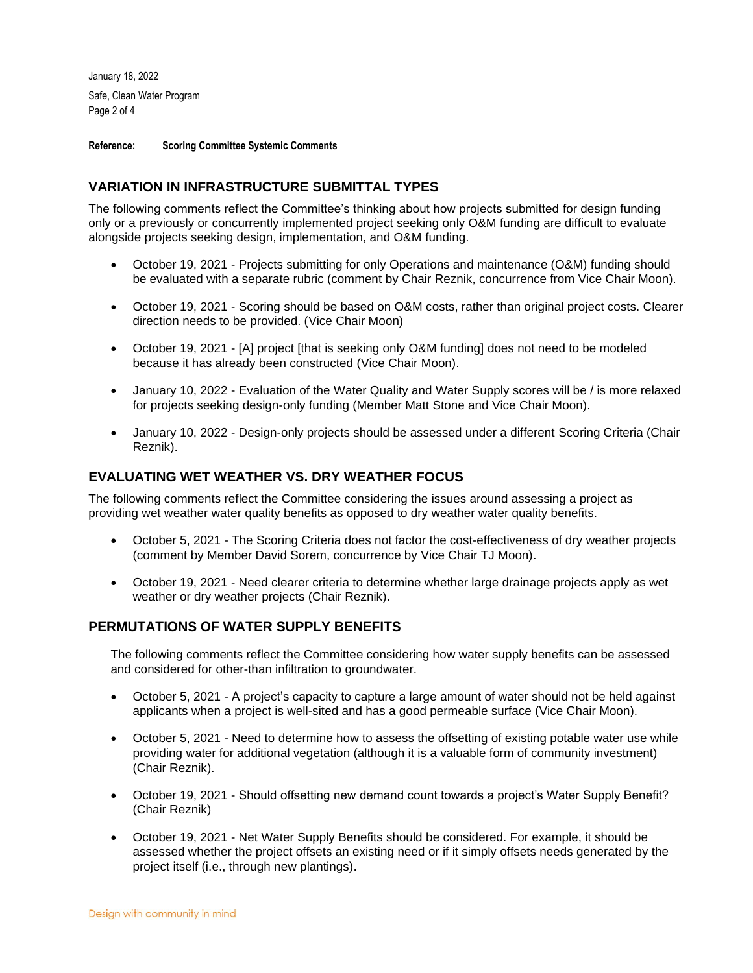January 18, 2022 Safe, Clean Water Program Page 2 of 4

**Reference: Scoring Committee Systemic Comments**

# **VARIATION IN INFRASTRUCTURE SUBMITTAL TYPES**

The following comments reflect the Committee's thinking about how projects submitted for design funding only or a previously or concurrently implemented project seeking only O&M funding are difficult to evaluate alongside projects seeking design, implementation, and O&M funding.

- October 19, 2021 Projects submitting for only Operations and maintenance (O&M) funding should be evaluated with a separate rubric (comment by Chair Reznik, concurrence from Vice Chair Moon).
- October 19, 2021 Scoring should be based on O&M costs, rather than original project costs. Clearer direction needs to be provided. (Vice Chair Moon)
- October 19, 2021 [A] project [that is seeking only O&M funding] does not need to be modeled because it has already been constructed (Vice Chair Moon).
- January 10, 2022 Evaluation of the Water Quality and Water Supply scores will be / is more relaxed for projects seeking design-only funding (Member Matt Stone and Vice Chair Moon).
- January 10, 2022 Design-only projects should be assessed under a different Scoring Criteria (Chair Reznik).

# **EVALUATING WET WEATHER VS. DRY WEATHER FOCUS**

The following comments reflect the Committee considering the issues around assessing a project as providing wet weather water quality benefits as opposed to dry weather water quality benefits.

- October 5, 2021 The Scoring Criteria does not factor the cost-effectiveness of dry weather projects (comment by Member David Sorem, concurrence by Vice Chair TJ Moon).
- October 19, 2021 Need clearer criteria to determine whether large drainage projects apply as wet weather or dry weather projects (Chair Reznik).

# **PERMUTATIONS OF WATER SUPPLY BENEFITS**

The following comments reflect the Committee considering how water supply benefits can be assessed and considered for other-than infiltration to groundwater.

- October 5, 2021 A project's capacity to capture a large amount of water should not be held against applicants when a project is well-sited and has a good permeable surface (Vice Chair Moon).
- October 5, 2021 Need to determine how to assess the offsetting of existing potable water use while providing water for additional vegetation (although it is a valuable form of community investment) (Chair Reznik).
- October 19, 2021 Should offsetting new demand count towards a project's Water Supply Benefit? (Chair Reznik)
- October 19, 2021 Net Water Supply Benefits should be considered. For example, it should be assessed whether the project offsets an existing need or if it simply offsets needs generated by the project itself (i.e., through new plantings).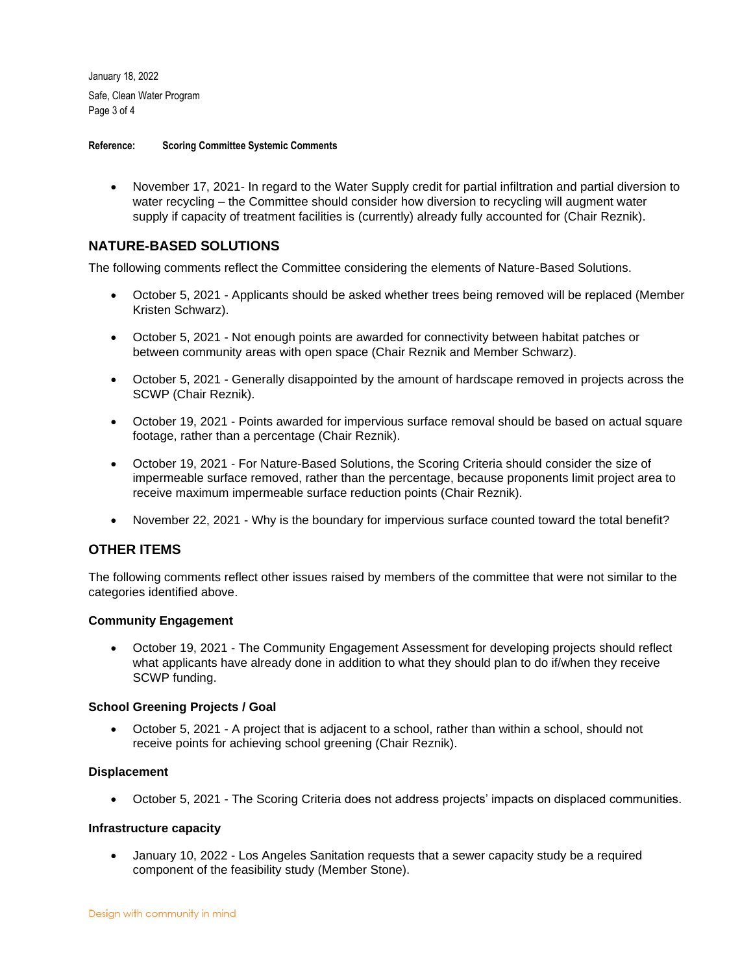January 18, 2022 Safe, Clean Water Program Page 3 of 4

**Reference: Scoring Committee Systemic Comments**

• November 17, 2021- In regard to the Water Supply credit for partial infiltration and partial diversion to water recycling – the Committee should consider how diversion to recycling will augment water supply if capacity of treatment facilities is (currently) already fully accounted for (Chair Reznik).

# **NATURE-BASED SOLUTIONS**

The following comments reflect the Committee considering the elements of Nature-Based Solutions.

- October 5, 2021 Applicants should be asked whether trees being removed will be replaced (Member Kristen Schwarz).
- October 5, 2021 Not enough points are awarded for connectivity between habitat patches or between community areas with open space (Chair Reznik and Member Schwarz).
- October 5, 2021 Generally disappointed by the amount of hardscape removed in projects across the SCWP (Chair Reznik).
- October 19, 2021 Points awarded for impervious surface removal should be based on actual square footage, rather than a percentage (Chair Reznik).
- October 19, 2021 For Nature-Based Solutions, the Scoring Criteria should consider the size of impermeable surface removed, rather than the percentage, because proponents limit project area to receive maximum impermeable surface reduction points (Chair Reznik).
- November 22, 2021 Why is the boundary for impervious surface counted toward the total benefit?

# **OTHER ITEMS**

The following comments reflect other issues raised by members of the committee that were not similar to the categories identified above.

#### **Community Engagement**

• October 19, 2021 - The Community Engagement Assessment for developing projects should reflect what applicants have already done in addition to what they should plan to do if/when they receive SCWP funding.

#### **School Greening Projects / Goal**

• October 5, 2021 - A project that is adjacent to a school, rather than within a school, should not receive points for achieving school greening (Chair Reznik).

#### **Displacement**

• October 5, 2021 - The Scoring Criteria does not address projects' impacts on displaced communities.

#### **Infrastructure capacity**

• January 10, 2022 - Los Angeles Sanitation requests that a sewer capacity study be a required component of the feasibility study (Member Stone).